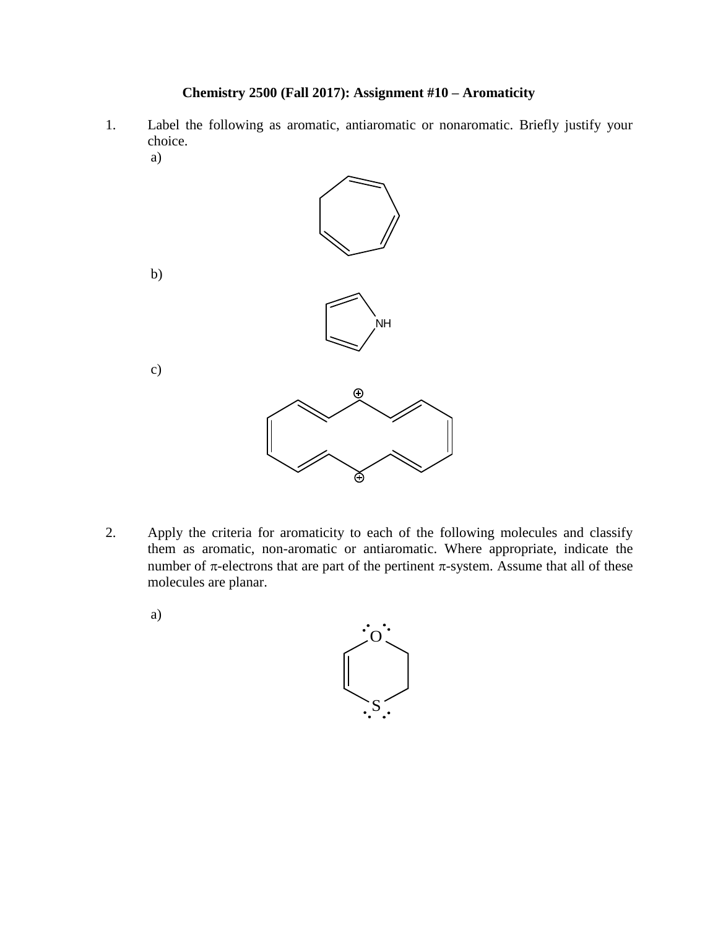## **Chemistry 2500 (Fall 2017): Assignment #10 – Aromaticity**

- 1. Label the following as aromatic, antiaromatic or nonaromatic. Briefly justify your choice.
	- a) b) c)

⊙ ð

.<br>Nh

- 2. Apply the criteria for aromaticity to each of the following molecules and classify them as aromatic, non-aromatic or antiaromatic. Where appropriate, indicate the number of  $\pi$ -electrons that are part of the pertinent  $\pi$ -system. Assume that all of these molecules are planar.
	- a)

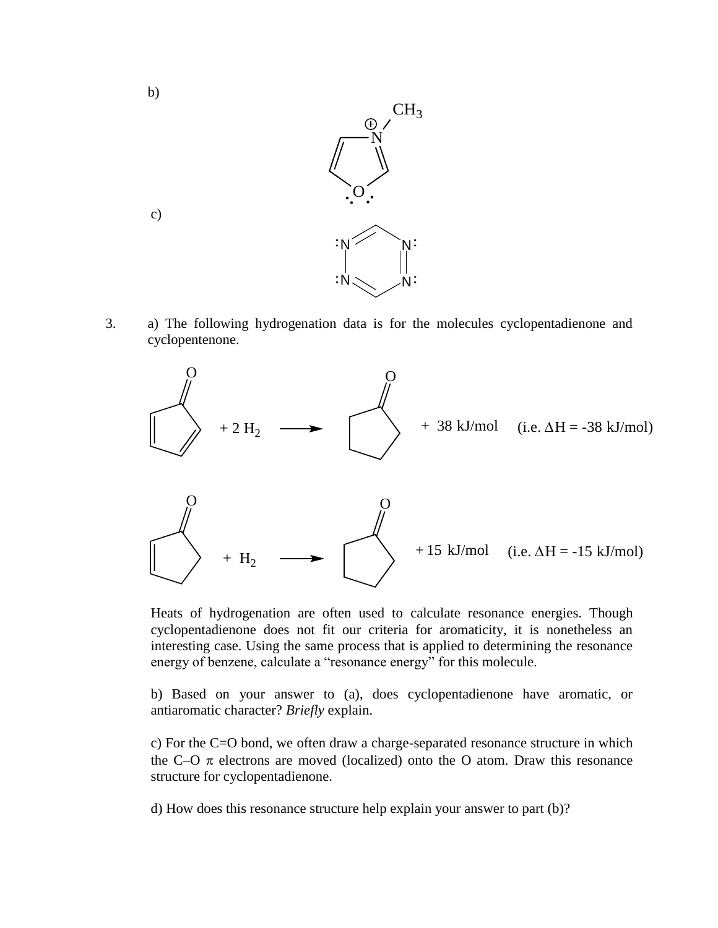

3. a) The following hydrogenation data is for the molecules cyclopentadienone and cyclopentenone.



Heats of hydrogenation are often used to calculate resonance energies. Though cyclopentadienone does not fit our criteria for aromaticity, it is nonetheless an interesting case. Using the same process that is applied to determining the resonance energy of benzene, calculate a "resonance energy" for this molecule.

b) Based on your answer to (a), does cyclopentadienone have aromatic, or antiaromatic character? *Briefly* explain.

c) For the C=O bond, we often draw a charge-separated resonance structure in which the C–O  $\pi$  electrons are moved (localized) onto the O atom. Draw this resonance structure for cyclopentadienone.

d) How does this resonance structure help explain your answer to part (b)?

c)